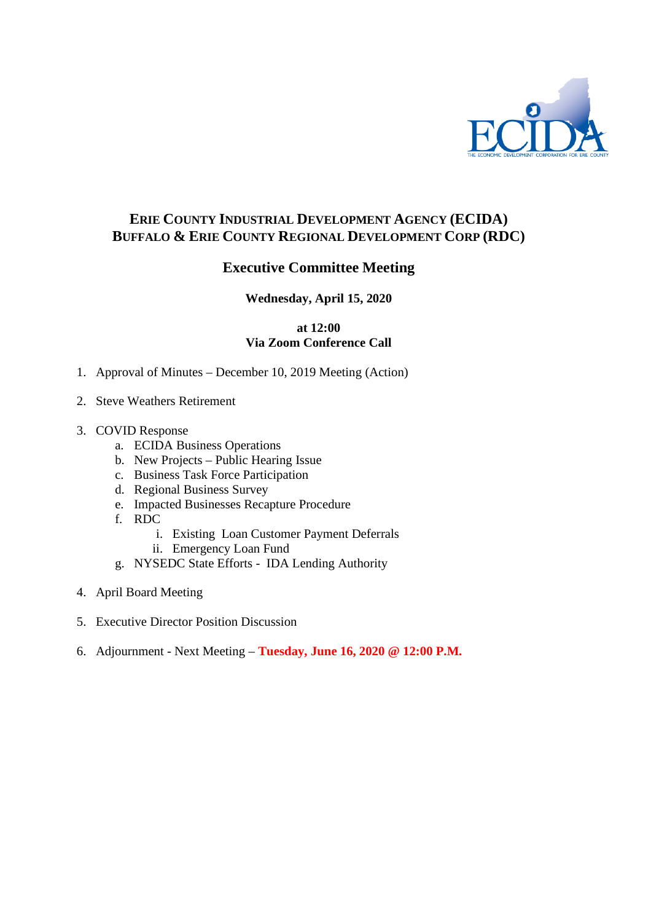

# **ERIE COUNTY INDUSTRIAL DEVELOPMENT AGENCY (ECIDA) BUFFALO & ERIE COUNTY REGIONAL DEVELOPMENT CORP (RDC)**

# **Executive Committee Meeting**

## **Wednesday, April 15, 2020**

### **at 12:00 Via Zoom Conference Call**

- 1. Approval of Minutes December 10, 2019 Meeting (Action)
- 2. Steve Weathers Retirement
- 3. COVID Response
	- a. ECIDA Business Operations
	- b. New Projects Public Hearing Issue
	- c. Business Task Force Participation
	- d. Regional Business Survey
	- e. Impacted Businesses Recapture Procedure
	- f. RDC
		- i. Existing Loan Customer Payment Deferrals
		- ii. Emergency Loan Fund
	- g. NYSEDC State Efforts IDA Lending Authority
- 4. April Board Meeting
- 5. Executive Director Position Discussion
- 6. Adjournment Next Meeting **Tuesday, June 16, 2020 @ 12:00 P.M.**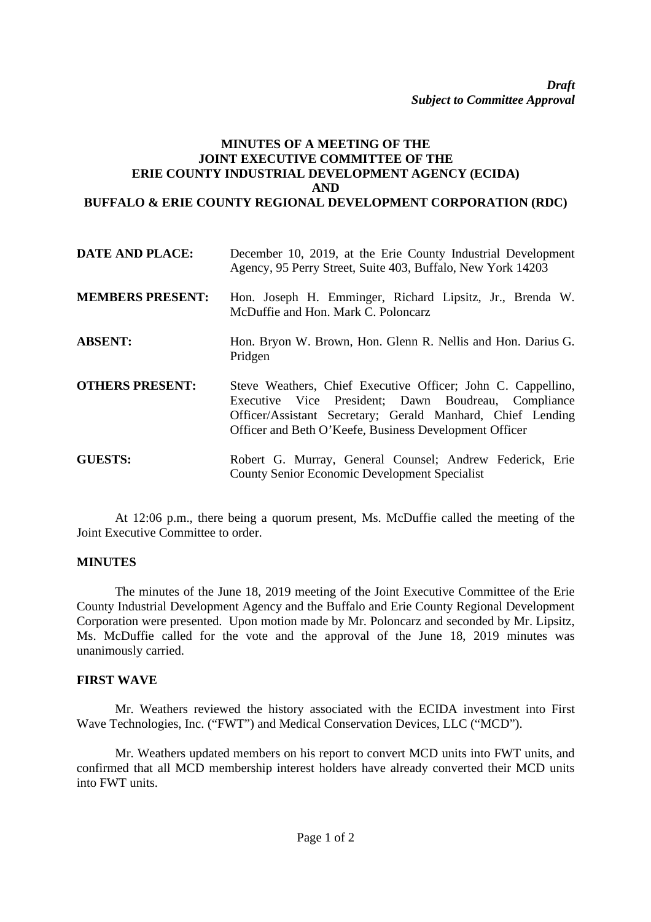#### **MINUTES OF A MEETING OF THE JOINT EXECUTIVE COMMITTEE OF THE ERIE COUNTY INDUSTRIAL DEVELOPMENT AGENCY (ECIDA) AND BUFFALO & ERIE COUNTY REGIONAL DEVELOPMENT CORPORATION (RDC)**

| <b>DATE AND PLACE:</b>  | December 10, 2019, at the Erie County Industrial Development<br>Agency, 95 Perry Street, Suite 403, Buffalo, New York 14203                                                                                                                 |
|-------------------------|---------------------------------------------------------------------------------------------------------------------------------------------------------------------------------------------------------------------------------------------|
| <b>MEMBERS PRESENT:</b> | Hon. Joseph H. Emminger, Richard Lipsitz, Jr., Brenda W.<br>McDuffie and Hon. Mark C. Poloncarz                                                                                                                                             |
| <b>ABSENT:</b>          | Hon. Bryon W. Brown, Hon. Glenn R. Nellis and Hon. Darius G.<br>Pridgen                                                                                                                                                                     |
| <b>OTHERS PRESENT:</b>  | Steve Weathers, Chief Executive Officer; John C. Cappellino,<br>Executive Vice President; Dawn Boudreau, Compliance<br>Officer/Assistant Secretary; Gerald Manhard, Chief Lending<br>Officer and Beth O'Keefe, Business Development Officer |
| <b>GUESTS:</b>          | Robert G. Murray, General Counsel; Andrew Federick, Erie<br><b>County Senior Economic Development Specialist</b>                                                                                                                            |

At 12:06 p.m., there being a quorum present, Ms. McDuffie called the meeting of the Joint Executive Committee to order.

#### **MINUTES**

The minutes of the June 18, 2019 meeting of the Joint Executive Committee of the Erie County Industrial Development Agency and the Buffalo and Erie County Regional Development Corporation were presented. Upon motion made by Mr. Poloncarz and seconded by Mr. Lipsitz, Ms. McDuffie called for the vote and the approval of the June 18, 2019 minutes was unanimously carried.

## **FIRST WAVE**

Mr. Weathers reviewed the history associated with the ECIDA investment into First Wave Technologies, Inc. ("FWT") and Medical Conservation Devices, LLC ("MCD").

Mr. Weathers updated members on his report to convert MCD units into FWT units, and confirmed that all MCD membership interest holders have already converted their MCD units into FWT units.